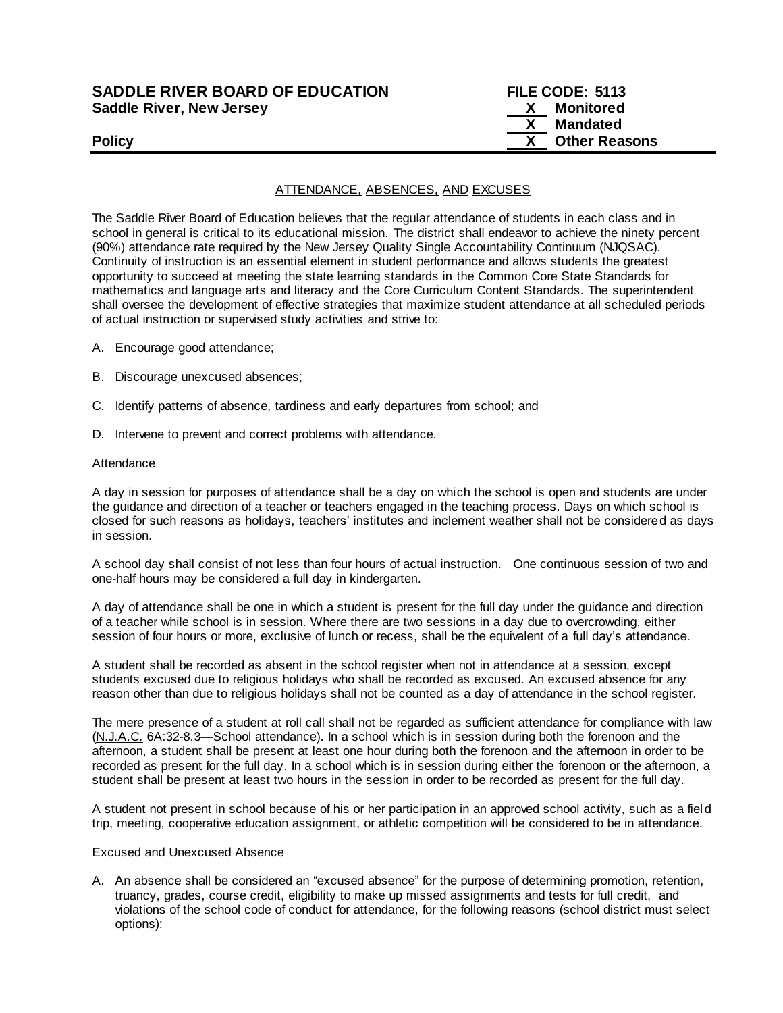| <b>SADDLE RIVER BOARD OF EDUCATION</b> | FILE CODE: 5113      |
|----------------------------------------|----------------------|
| <b>Saddle River, New Jersey</b>        | Monitored            |
|                                        | Mandated             |
| <b>Policy</b>                          | <b>Other Reasons</b> |

# ATTENDANCE, ABSENCES, AND EXCUSES

The Saddle River Board of Education believes that the regular attendance of students in each class and in school in general is critical to its educational mission. The district shall endeavor to achieve the ninety percent (90%) attendance rate required by the New Jersey Quality Single Accountability Continuum (NJQSAC). Continuity of instruction is an essential element in student performance and allows students the greatest opportunity to succeed at meeting the state learning standards in the Common Core State Standards for mathematics and language arts and literacy and the Core Curriculum Content Standards. The superintendent shall oversee the development of effective strategies that maximize student attendance at all scheduled periods of actual instruction or supervised study activities and strive to:

- A. Encourage good attendance;
- B. Discourage unexcused absences;
- C. Identify patterns of absence, tardiness and early departures from school; and
- D. Intervene to prevent and correct problems with attendance.

### Attendance

A day in session for purposes of attendance shall be a day on which the school is open and students are under the guidance and direction of a teacher or teachers engaged in the teaching process. Days on which school is closed for such reasons as holidays, teachers' institutes and inclement weather shall not be considered as days in session.

A school day shall consist of not less than four hours of actual instruction. One continuous session of two and one-half hours may be considered a full day in kindergarten.

A day of attendance shall be one in which a student is present for the full day under the guidance and direction of a teacher while school is in session. Where there are two sessions in a day due to overcrowding, either session of four hours or more, exclusive of lunch or recess, shall be the equivalent of a full day's attendance.

A student shall be recorded as absent in the school register when not in attendance at a session, except students excused due to religious holidays who shall be recorded as excused. An excused absence for any reason other than due to religious holidays shall not be counted as a day of attendance in the school register.

The mere presence of a student at roll call shall not be regarded as sufficient attendance for compliance with law (N.J.A.C. 6A:32-8.3—School attendance). In a school which is in session during both the forenoon and the afternoon, a student shall be present at least one hour during both the forenoon and the afternoon in order to be recorded as present for the full day. In a school which is in session during either the forenoon or the afternoon, a student shall be present at least two hours in the session in order to be recorded as present for the full day.

A student not present in school because of his or her participation in an approved school activity, such as a fiel d trip, meeting, cooperative education assignment, or athletic competition will be considered to be in attendance.

### Excused and Unexcused Absence

A. An absence shall be considered an "excused absence" for the purpose of determining promotion, retention, truancy, grades, course credit, eligibility to make up missed assignments and tests for full credit, and violations of the school code of conduct for attendance, for the following reasons (school district must select options):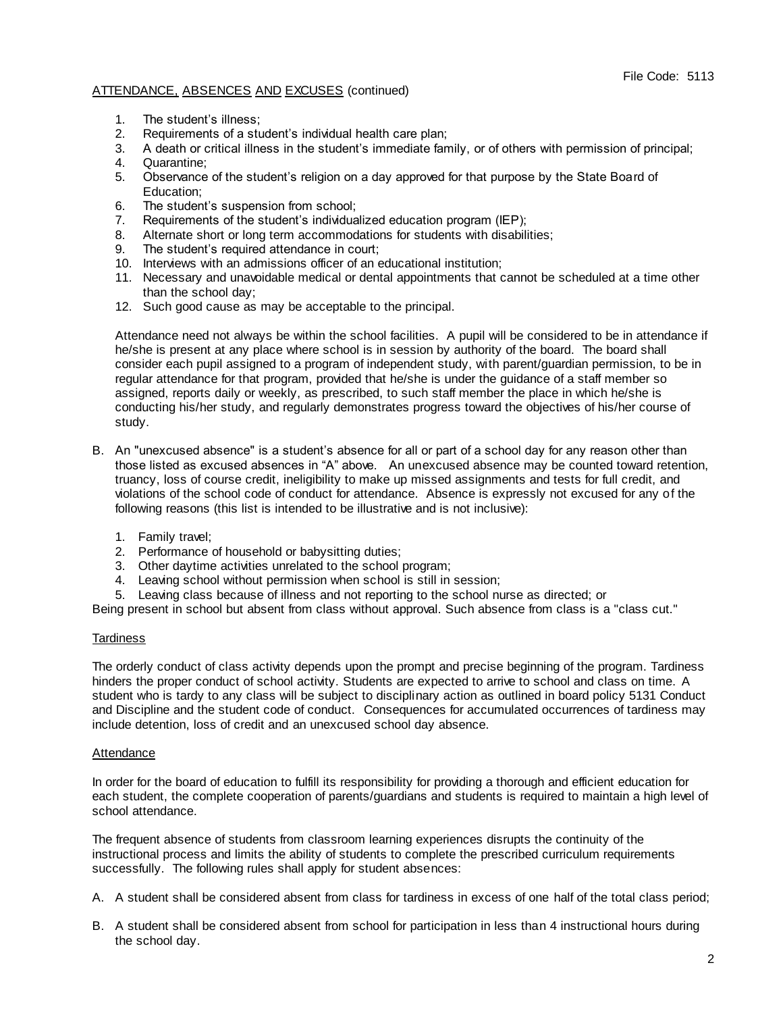- 1. The student's illness;
- 2. Requirements of a student's individual health care plan;
- 3. A death or critical illness in the student's immediate family, or of others with permission of principal;
- 4. Quarantine;
- 5. Observance of the student's religion on a day approved for that purpose by the State Board of Education;
- 6. The student's suspension from school;
- 7. Requirements of the student's individualized education program (IEP);
- 8. Alternate short or long term accommodations for students with disabilities;
- 9. The student's required attendance in court;
- 10. Interviews with an admissions officer of an educational institution;
- 11. Necessary and unavoidable medical or dental appointments that cannot be scheduled at a time other than the school day;
- 12. Such good cause as may be acceptable to the principal.

Attendance need not always be within the school facilities. A pupil will be considered to be in attendance if he/she is present at any place where school is in session by authority of the board. The board shall consider each pupil assigned to a program of independent study, with parent/guardian permission, to be in regular attendance for that program, provided that he/she is under the guidance of a staff member so assigned, reports daily or weekly, as prescribed, to such staff member the place in which he/she is conducting his/her study, and regularly demonstrates progress toward the objectives of his/her course of study.

- B. An "unexcused absence" is a student's absence for all or part of a school day for any reason other than those listed as excused absences in "A" above. An unexcused absence may be counted toward retention, truancy, loss of course credit, ineligibility to make up missed assignments and tests for full credit, and violations of the school code of conduct for attendance. Absence is expressly not excused for any of the following reasons (this list is intended to be illustrative and is not inclusive):
	- 1. Family travel;
	- 2. Performance of household or babysitting duties;
	- 3. Other daytime activities unrelated to the school program;
	- 4. Leaving school without permission when school is still in session;
	- 5. Leaving class because of illness and not reporting to the school nurse as directed; or

Being present in school but absent from class without approval. Such absence from class is a "class cut."

# **Tardiness**

The orderly conduct of class activity depends upon the prompt and precise beginning of the program. Tardiness hinders the proper conduct of school activity. Students are expected to arrive to school and class on time. A student who is tardy to any class will be subject to disciplinary action as outlined in board policy 5131 Conduct and Discipline and the student code of conduct. Consequences for accumulated occurrences of tardiness may include detention, loss of credit and an unexcused school day absence.

# Attendance

In order for the board of education to fulfill its responsibility for providing a thorough and efficient education for each student, the complete cooperation of parents/guardians and students is required to maintain a high level of school attendance.

The frequent absence of students from classroom learning experiences disrupts the continuity of the instructional process and limits the ability of students to complete the prescribed curriculum requirements successfully. The following rules shall apply for student absences:

- A. A student shall be considered absent from class for tardiness in excess of one half of the total class period;
- B. A student shall be considered absent from school for participation in less than 4 instructional hours during the school day.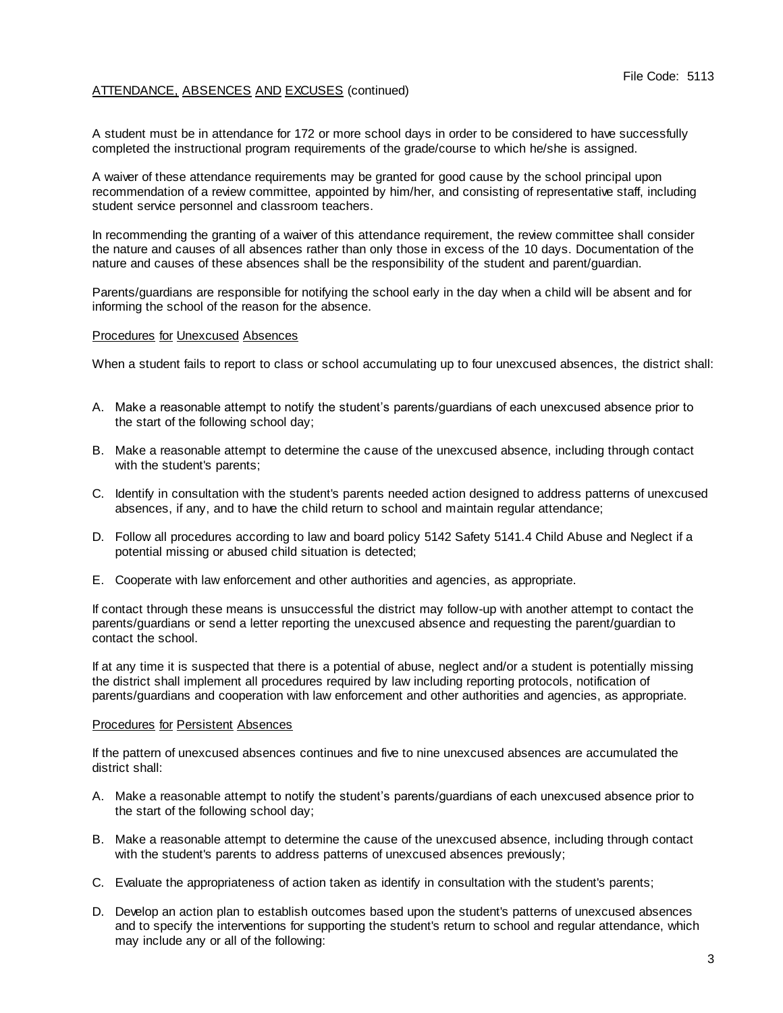A student must be in attendance for 172 or more school days in order to be considered to have successfully completed the instructional program requirements of the grade/course to which he/she is assigned.

A waiver of these attendance requirements may be granted for good cause by the school principal upon recommendation of a review committee, appointed by him/her, and consisting of representative staff, including student service personnel and classroom teachers.

In recommending the granting of a waiver of this attendance requirement, the review committee shall consider the nature and causes of all absences rather than only those in excess of the 10 days. Documentation of the nature and causes of these absences shall be the responsibility of the student and parent/guardian.

Parents/guardians are responsible for notifying the school early in the day when a child will be absent and for informing the school of the reason for the absence.

### Procedures for Unexcused Absences

When a student fails to report to class or school accumulating up to four unexcused absences, the district shall:

- A. Make a reasonable attempt to notify the student's parents/guardians of each unexcused absence prior to the start of the following school day;
- B. Make a reasonable attempt to determine the cause of the unexcused absence, including through contact with the student's parents;
- C. Identify in consultation with the student's parents needed action designed to address patterns of unexcused absences, if any, and to have the child return to school and maintain regular attendance;
- D. Follow all procedures according to law and board policy 5142 Safety 5141.4 Child Abuse and Neglect if a potential missing or abused child situation is detected;
- E. Cooperate with law enforcement and other authorities and agencies, as appropriate.

If contact through these means is unsuccessful the district may follow-up with another attempt to contact the parents/guardians or send a letter reporting the unexcused absence and requesting the parent/guardian to contact the school.

If at any time it is suspected that there is a potential of abuse, neglect and/or a student is potentially missing the district shall implement all procedures required by law including reporting protocols, notification of parents/guardians and cooperation with law enforcement and other authorities and agencies, as appropriate.

### Procedures for Persistent Absences

If the pattern of unexcused absences continues and five to nine unexcused absences are accumulated the district shall:

- A. Make a reasonable attempt to notify the student's parents/guardians of each unexcused absence prior to the start of the following school day;
- B. Make a reasonable attempt to determine the cause of the unexcused absence, including through contact with the student's parents to address patterns of unexcused absences previously;
- C. Evaluate the appropriateness of action taken as identify in consultation with the student's parents;
- D. Develop an action plan to establish outcomes based upon the student's patterns of unexcused absences and to specify the interventions for supporting the student's return to school and regular attendance, which may include any or all of the following: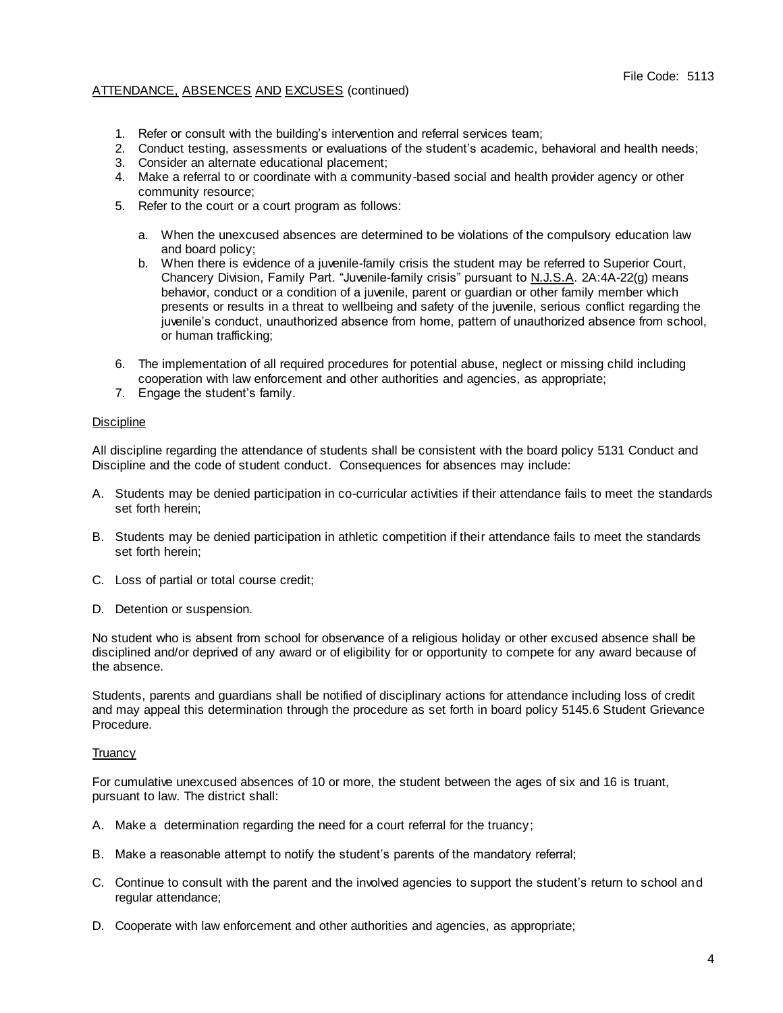- 1. Refer or consult with the building's intervention and referral services team;
- 2. Conduct testing, assessments or evaluations of the student's academic, behavioral and health needs;
- 3. Consider an alternate educational placement;
- 4. Make a referral to or coordinate with a community-based social and health provider agency or other community resource;
- 5. Refer to the court or a court program as follows:
	- a. When the unexcused absences are determined to be violations of the compulsory education law and board policy;
	- b. When there is evidence of a juvenile-family crisis the student may be referred to Superior Court, Chancery Division, Family Part. "Juvenile-family crisis" pursuant to N.J.S.A. 2A:4A-22(g) means behavior, conduct or a condition of a juvenile, parent or guardian or other family member which presents or results in a threat to wellbeing and safety of the juvenile, serious conflict regarding the juvenile's conduct, unauthorized absence from home, pattern of unauthorized absence from school, or human trafficking;
- 6. The implementation of all required procedures for potential abuse, neglect or missing child including cooperation with law enforcement and other authorities and agencies, as appropriate;
- 7. Engage the student's family.

# **Discipline**

All discipline regarding the attendance of students shall be consistent with the board policy 5131 Conduct and Discipline and the code of student conduct. Consequences for absences may include:

- A. Students may be denied participation in co-curricular activities if their attendance fails to meet the standards set forth herein;
- B. Students may be denied participation in athletic competition if their attendance fails to meet the standards set forth herein;
- C. Loss of partial or total course credit;
- D. Detention or suspension.

No student who is absent from school for observance of a religious holiday or other excused absence shall be disciplined and/or deprived of any award or of eligibility for or opportunity to compete for any award because of the absence.

Students, parents and guardians shall be notified of disciplinary actions for attendance including loss of credit and may appeal this determination through the procedure as set forth in board policy 5145.6 Student Grievance Procedure.

# **Truancy**

For cumulative unexcused absences of 10 or more, the student between the ages of six and 16 is truant, pursuant to law. The district shall:

- A. Make a determination regarding the need for a court referral for the truancy;
- B. Make a reasonable attempt to notify the student's parents of the mandatory referral;
- C. Continue to consult with the parent and the involved agencies to support the student's return to school and regular attendance;
- D. Cooperate with law enforcement and other authorities and agencies, as appropriate;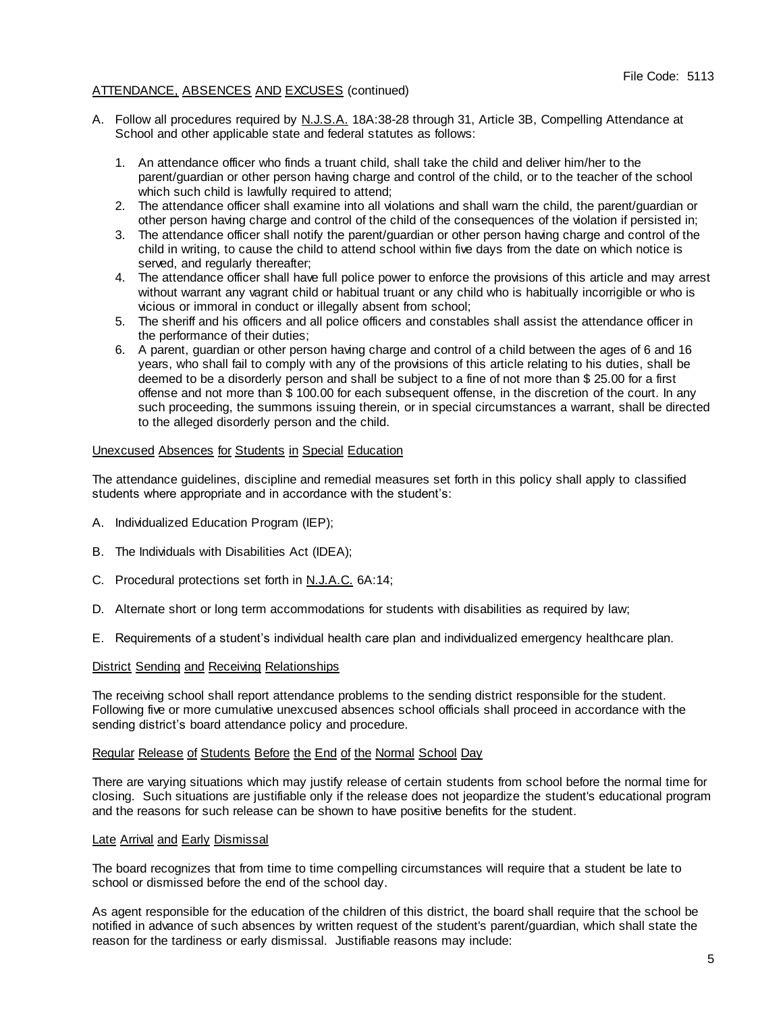- A. Follow all procedures required by N.J.S.A. 18A:38-28 through 31, Article 3B, Compelling Attendance at School and other applicable state and federal statutes as follows:
	- 1. An attendance officer who finds a truant child, shall take the child and deliver him/her to the parent/guardian or other person having charge and control of the child, or to the teacher of the school which such child is lawfully required to attend;
	- 2. The attendance officer shall examine into all violations and shall warn the child, the parent/guardian or other person having charge and control of the child of the consequences of the violation if persisted in;
	- 3. The attendance officer shall notify the parent/guardian or other person having charge and control of the child in writing, to cause the child to attend school within five days from the date on which notice is served, and regularly thereafter:
	- 4. The attendance officer shall have full police power to enforce the provisions of this article and may arrest without warrant any vagrant child or habitual truant or any child who is habitually incorrigible or who is vicious or immoral in conduct or illegally absent from school;
	- 5. The sheriff and his officers and all police officers and constables shall assist the attendance officer in the performance of their duties;
	- 6. A parent, guardian or other person having charge and control of a child between the ages of 6 and 16 years, who shall fail to comply with any of the provisions of this article relating to his duties, shall be deemed to be a disorderly person and shall be subject to a fine of not more than \$ 25.00 for a first offense and not more than \$ 100.00 for each subsequent offense, in the discretion of the court. In any such proceeding, the summons issuing therein, or in special circumstances a warrant, shall be directed to the alleged disorderly person and the child.

# Unexcused Absences for Students in Special Education

The attendance guidelines, discipline and remedial measures set forth in this policy shall apply to classified students where appropriate and in accordance with the student's:

- A. Individualized Education Program (IEP);
- B. The Individuals with Disabilities Act (IDEA);
- C. Procedural protections set forth in N.J.A.C. 6A:14;
- D. Alternate short or long term accommodations for students with disabilities as required by law;
- E. Requirements of a student's individual health care plan and individualized emergency healthcare plan.

# District Sending and Receiving Relationships

The receiving school shall report attendance problems to the sending district responsible for the student. Following five or more cumulative unexcused absences school officials shall proceed in accordance with the sending district's board attendance policy and procedure.

# Regular Release of Students Before the End of the Normal School Day

There are varying situations which may justify release of certain students from school before the normal time for closing. Such situations are justifiable only if the release does not jeopardize the student's educational program and the reasons for such release can be shown to have positive benefits for the student.

### Late Arrival and Early Dismissal

The board recognizes that from time to time compelling circumstances will require that a student be late to school or dismissed before the end of the school day.

As agent responsible for the education of the children of this district, the board shall require that the school be notified in advance of such absences by written request of the student's parent/guardian, which shall state the reason for the tardiness or early dismissal. Justifiable reasons may include: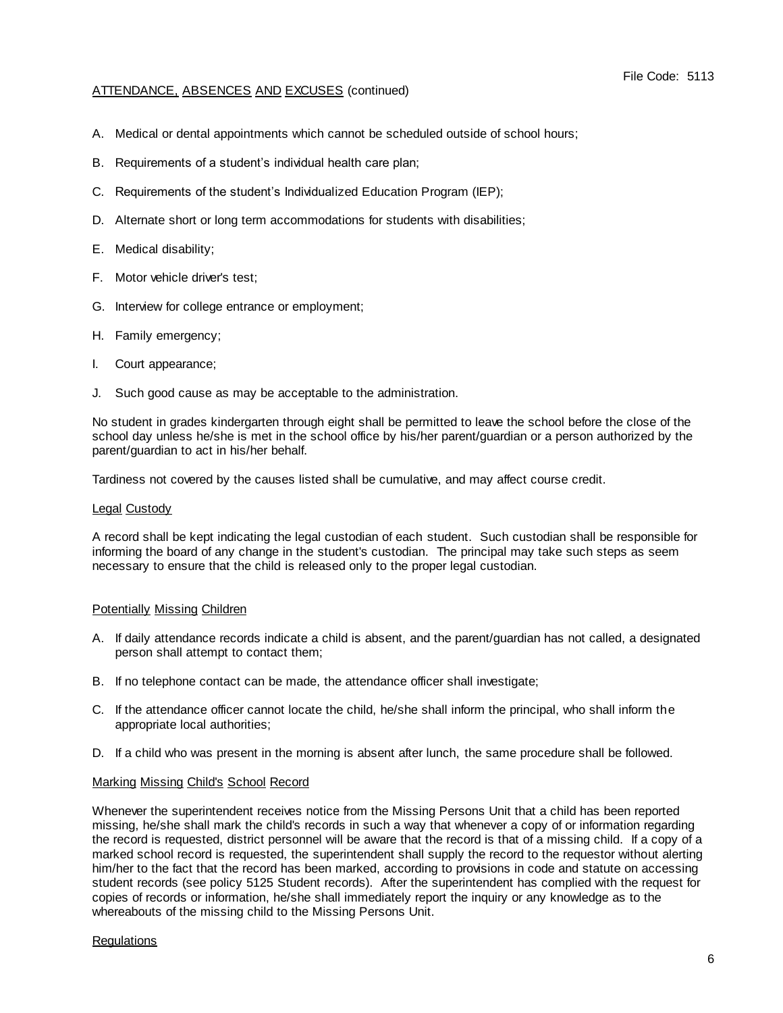- A. Medical or dental appointments which cannot be scheduled outside of school hours;
- B. Requirements of a student's individual health care plan;
- C. Requirements of the student's Individualized Education Program (IEP);
- D. Alternate short or long term accommodations for students with disabilities;
- E. Medical disability;
- F. Motor vehicle driver's test;
- G. Interview for college entrance or employment;
- H. Family emergency;
- I. Court appearance;
- J. Such good cause as may be acceptable to the administration.

No student in grades kindergarten through eight shall be permitted to leave the school before the close of the school day unless he/she is met in the school office by his/her parent/guardian or a person authorized by the parent/guardian to act in his/her behalf.

Tardiness not covered by the causes listed shall be cumulative, and may affect course credit.

### Legal Custody

A record shall be kept indicating the legal custodian of each student. Such custodian shall be responsible for informing the board of any change in the student's custodian. The principal may take such steps as seem necessary to ensure that the child is released only to the proper legal custodian.

# Potentially Missing Children

- A. If daily attendance records indicate a child is absent, and the parent/guardian has not called, a designated person shall attempt to contact them;
- B. If no telephone contact can be made, the attendance officer shall investigate;
- C. If the attendance officer cannot locate the child, he/she shall inform the principal, who shall inform the appropriate local authorities;
- D. If a child who was present in the morning is absent after lunch, the same procedure shall be followed.

# Marking Missing Child's School Record

Whenever the superintendent receives notice from the Missing Persons Unit that a child has been reported missing, he/she shall mark the child's records in such a way that whenever a copy of or information regarding the record is requested, district personnel will be aware that the record is that of a missing child. If a copy of a marked school record is requested, the superintendent shall supply the record to the requestor without alerting him/her to the fact that the record has been marked, according to provisions in code and statute on accessing student records (see policy 5125 Student records). After the superintendent has complied with the request for copies of records or information, he/she shall immediately report the inquiry or any knowledge as to the whereabouts of the missing child to the Missing Persons Unit.

# Regulations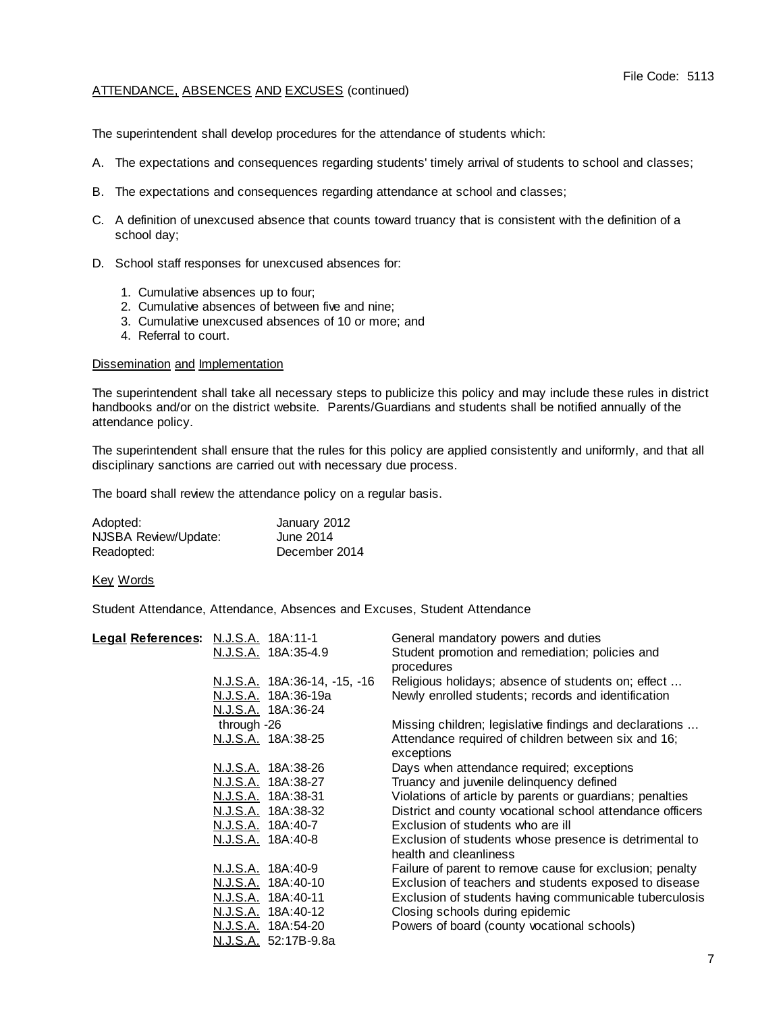The superintendent shall develop procedures for the attendance of students which:

- A. The expectations and consequences regarding students' timely arrival of students to school and classes;
- B. The expectations and consequences regarding attendance at school and classes;
- C. A definition of unexcused absence that counts toward truancy that is consistent with the definition of a school day;
- D. School staff responses for unexcused absences for:
	- 1. Cumulative absences up to four;
	- 2. Cumulative absences of between five and nine;
	- 3. Cumulative unexcused absences of 10 or more; and
	- 4. Referral to court.

### Dissemination and Implementation

The superintendent shall take all necessary steps to publicize this policy and may include these rules in district handbooks and/or on the district website. Parents/Guardians and students shall be notified annually of the attendance policy.

The superintendent shall ensure that the rules for this policy are applied consistently and uniformly, and that all disciplinary sanctions are carried out with necessary due process.

The board shall review the attendance policy on a regular basis.

| Adopted:             | January 2012  |
|----------------------|---------------|
| NJSBA Review/Update: | June 2014     |
| Readopted:           | December 2014 |

Key Words

Student Attendance, Attendance, Absences and Excuses, Student Attendance

| Legal References: N.J.S.A. 18A:11-1 |                              | General mandatory powers and duties                       |
|-------------------------------------|------------------------------|-----------------------------------------------------------|
|                                     | N.J.S.A. 18A:35-4.9          | Student promotion and remediation; policies and           |
|                                     |                              | procedures                                                |
|                                     | N.J.S.A. 18A:36-14, -15, -16 | Religious holidays; absence of students on; effect        |
|                                     | N.J.S.A. 18A:36-19a          | Newly enrolled students; records and identification       |
|                                     | N.J.S.A. 18A:36-24           |                                                           |
|                                     | through -26                  | Missing children; legislative findings and declarations   |
|                                     | N.J.S.A. 18A:38-25           | Attendance required of children between six and 16;       |
|                                     |                              | exceptions                                                |
|                                     | N.J.S.A. 18A:38-26           | Days when attendance required; exceptions                 |
|                                     | N.J.S.A. 18A:38-27           | Truancy and juvenile delinquency defined                  |
|                                     | <u>N.J.S.A.</u> 18A:38-31    | Violations of article by parents or guardians; penalties  |
|                                     | N.J.S.A. 18A:38-32           | District and county vocational school attendance officers |
|                                     | <u>N.J.S.A.</u> 18A:40-7     | Exclusion of students who are ill                         |
|                                     | <u>N.J.S.A.</u> 18A:40-8     | Exclusion of students whose presence is detrimental to    |
|                                     |                              | health and cleanliness                                    |
|                                     | N.J.S.A. 18A:40-9            | Failure of parent to remove cause for exclusion; penalty  |
|                                     | N.J.S.A. 18A:40-10           | Exclusion of teachers and students exposed to disease     |
|                                     | N.J.S.A. 18A:40-11           | Exclusion of students having communicable tuberculosis    |
|                                     | N.J.S.A. 18A:40-12           | Closing schools during epidemic                           |
|                                     | <u>N.J.S.A.</u> 18A:54-20    | Powers of board (county vocational schools)               |
|                                     | N.J.S.A. 52:17B-9.8a         |                                                           |